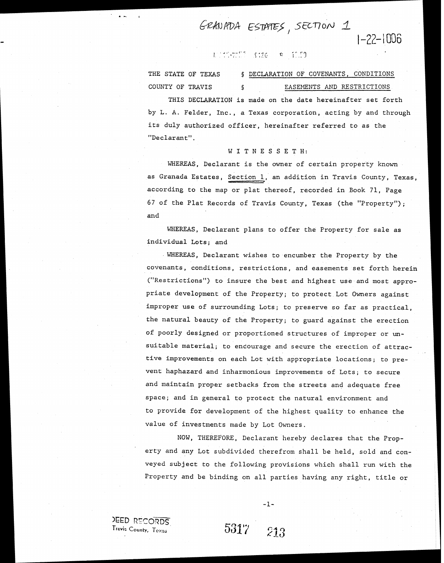GRANADA ESTATES, SECTION 1

#### 化化物物质  $8526$

THE STATE OF TEXAS 5 DECLARATION OF COVENANTS, CONDITIONS COUNTY OF TRAVIS 6 6 EASEMENTS AND RESTRICTIONS

THIS DECLARATION is made on the date hereinafter set forth by L. A. Felder, Inc., a Texas corporation, acting by and through its duly authorized officer, hereinafter referred to as the "Declarant" .

#### WITNESSETH:

WHEREAS, Declarant is the owner of certain property known COUNTY OF TRAVIS S<br>
EASEMENTS AND RESTRICTIONS<br>
THIS DECLARATION is made on the date hereinafter set forth<br>
by L. A. Felder, Inc., a Texas corporation, acting by and through<br>
its duly authorized officer, hereinafter referr according to the map or plat thereof, recorded in Book 71, Page 67 of the Plat Records of Travis County, Texas (the "Property"); and

WHEREAS, Declarant plans to offer the Property for sale as individual Lots; and

**WHEREAS,** Declarant wishes to encumber the Property by the covenants, conditions, restrictions, and easements set forth herein ("Restrictions") to insure the best and highest use and most appropriate development of the Property; to protect Lot Owners against improper use of surrounding Lots; to preserve so far as practical, the natural beauty of the Property; to guard against the erection of poorly designed or proportioned structures of improper or unsuitable material; to encourage and secure the erection of attractive improvements on each Lot with appropriate locations; to prevent haphazard and inharmonious improvements of Lots; to secure and maintain proper setbacks from the streets and adequate free space; and in general to protect the natural environment and to provide for development of the highest quality to enhance the value of investments made by Lot Owners.

NOW, THEREFORE, Declarant hereby declares that the Property and any Lot subdivided therefrom shall be held, sold and conveyed subject to the following provisions which shall run with the Property and be binding on all parties having any right, title or

**JEED RECORDS** Travis County, Texas

5317 213

 $-1-$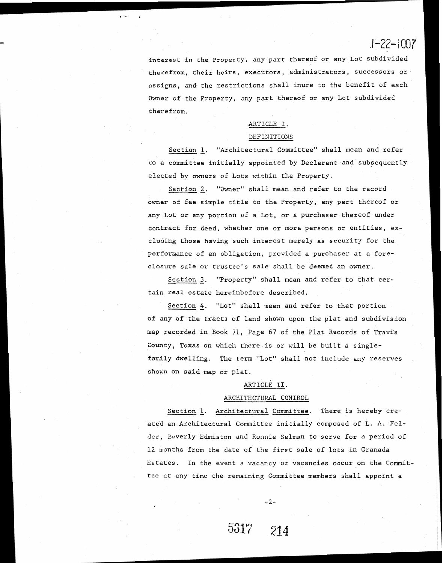interest in the Property, any part thereof or any Lot subdivided therefrom, their heirs, executors, administrators, successors or assigns, and the restrictions shall inure to the benefit of each Owner of the Property, any part thereof or any Lot subdivided therefrom.

### ARTICLE I. DEFINITIONS

Section 1. "Architectural Committee" shall mean and refer to a committee initially appointed by Declarant and subsequently elected by owners of Lots within the Property.

Section 2. "Owner" shall mean and refer to the record owner of fee simple title to the Property, any part thereof or any Lot or any portion of a Lot, or a purchaser thereof under contract for deed, whether one or more persons or entities, excluding those having such interest merely as security for the performance of an obligation, provided a purchaser at a foreclosure sale or trustee's sale shall be deemed an owner.

Section 3. "Property" shall mean and refer to that certain real estate hereinbefore described.

Section *4.* "Lot" shall mean and refer to that portion of any of the tracts of land shown upon the plat and subdivision map recorded in Eook 71, Page 67 of the Plat Records of Travi's County, Texas on which there is or will be built a singlefamily dwelling. The term "Lot" shall not include any reserves shown on said nap or plat.

#### ARTICLE **11.**

#### ARCHITECTURAL CONTROL

Section L. Architectural Committee. There is hereby created an Architectural Committee initially composed of L. A. Felder, Beverly Edmiston and Ronnie Selman to serve for a period of 12 months from the date of the first sale of lots in Granada Estates. In the event a vacancy or vacancies occur on the Committee at any time the remaining Committee members shall appoint a

 $-2-$ 

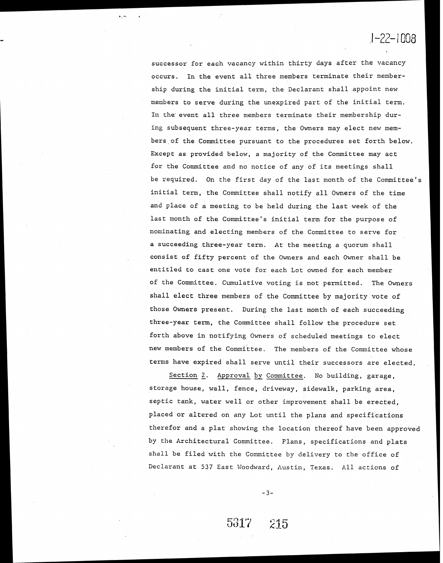successor for each vacancy within thirty days after the vacancy occurs. In the event all three members terminate their membership during the initial term, the Declarant shall appoint new members to serve during the unexpired part of the initial term. In the event all three members terminate their membership during subsequent three-year terms, the Owners may elect new members of the Committee pursuant to the procedures set forth below. Except as provided below, a majority of the Committee may act for the Committee and no notice of any of its meetings shall be required. On the first day of the last month of the Committee's initial term, the Committee shall notify all Owners of the time and place of a meeting to be held during the last week of the last month of the committee's initial term for the purpose of nominating and electing members of the Committee to serve for a succeeding three-year term. At the meeting a quorum shall consist of fifty percent of the Owners and each Owner shall be entitled to cast one vote for each Lot owned for each member of the Committee. Cumulative voting is not permitted. The Owners shall elect three members of the Committee by majority vote of those Owners present. During the last month of each succeeding three-year term., the Committee shall follow the procedure set forth above in notifying Owners of scheduled meetings to elect new members of the Committee. The members of the Committee whose terms have expired shall serve until their successors are elected.

Section 2. Approval by Committee. No building, garage, storage house, wall, fence, driveway, sidewalk, parking area, septic tank, water well or other improvement shall be erected, placed or altered on any Lot until the plans and specifications therefor and a plat showing the location thereof have been approved by the Architectural Committee. Plans, specifications and plats shall be filed with the Committee by delivery to the office of Declarant at 537 East Woodward, Austin, Texas. All actions of

 $-3-$ 

215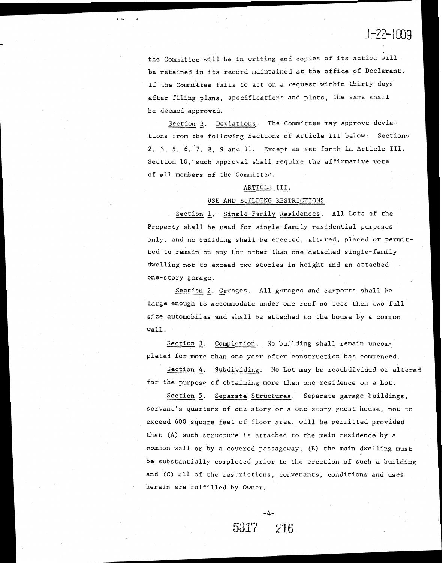the Committee will be in writing and copies of its action will be retained in its record maintained at the office of Declarant. If the Committee fails to act on a request within thirty days after filing plans, specifications and plats, the same shall be deemed approved.

Section **2.** Deviations, The Committee may approve deviations from the following Sections of Article I11 below: Sections 2, 3, 5, 6, 7, 8, 9 and 11. Except as set forth in Article 111, Section 10, such approval shall require the affirmative vote of all members of the Committee.

### ARTICLE 111.

#### USE AND EUILDING RESTRICTIONS

Section I. Single-Family Residences. All Lots of the Property shall be used for single-family residential purposes only, and no building shall be erected, altered, placed or permitted to remain on any Lot other than one detached single-family dwelling not to exceed two stories in height and an attached one-story garage.

Section **2.** Garages. All garages and carports shall be large enough to accommodate under one roof no less than two full size automobiles and shall be attached to the house by a common wall.

Section **3.** Completion. No building shall remain uncompleted for more than one year after construction has commenced.

Section *4.* Subdividing. No Lot may be resubdivided or altered for the purpose of obtaining more than one residence on a Lot.

Section 5. Separate Structures. Separate garage buildings, servant's quarters of one story or a one-story guest house, not to exceed 600 square feet of floor area, will be permitted provided that (A) such structure is attached to the main residence by a common wall or by a covered passageway, (B) the main dwelling must be substantially completed prior to the erection of such a building and (C) all of the restrictions, convenants, conditions and uses herein are fulfilled by Owner.

-4-

216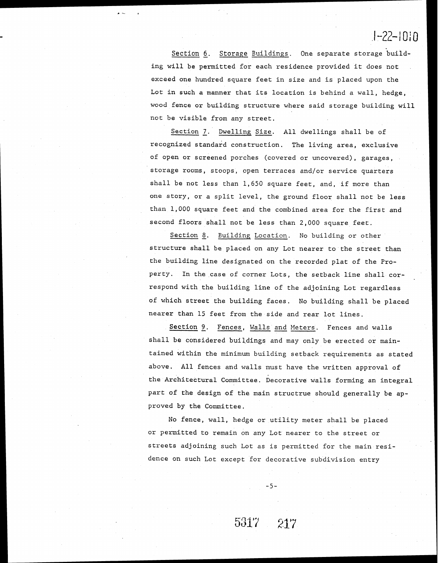Section *5.* Storage Buildings. One separate storage building will be permitted for each residence provided it does not exceed one hundred square feet in size and is placed upon the Lot in such a manner that its location is behind a wall, hedge, wood fence or building structure where said storage building will not be visible from any street.

Section *I.* Dwelling Size. All dwellings shall be of recognized standard construction. The living area, exclusive of open or screened porches (covered or uncovered), garages, storage rooms, stoops, open terraces and/or service quarters shall be not less than 1,650 square feet, and, if more than one story, or a split level, the ground floor shall not be less than 1,000 square feet and the combined area for the first and second floors shall not be less than 2,000 square feet.

Section 8. Building Location. No building or other structure shall be placed on any Lot nearer to the street than the building line designated on the recorded plat of the Property. In the case of corner Lots, the setback line shall correspond with the building line of the adjoining Lot regardless of which street the building faces. No building shall be placed nearer than 15 feet from the side and rear lot lines.

Section 9. Fences, Walls and Meters. Fences and walls shall be considered buildings and may only be erected or maintained within the minimum building setback requirements as stated above. All fences and walls must have the written approval of the Architectural Committee. Decorative walls forming an integral part of the design of the main structrue should generally be approved by the Committee,

No fence, wall, hedge or utility meter shall be placed or permitted to remain on any Lot nearer to the street or streets adjoining such Lot as is permitted for the main residence on such Lot except for decorative subdivision entry

 $-5-$ 

217

5317 -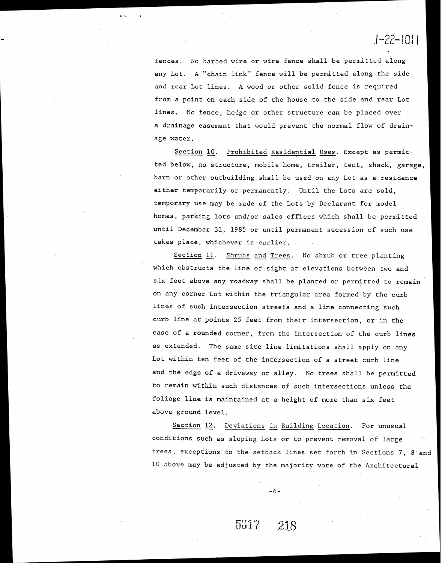fences. No barbed wire or wire fence shall be permitted along any Lot. **A** "chain link" fence will be permitted along the side and rear Lot lines. **A** wood or other solid fence is required from a point on each side of the house to the side and rear Lot lines. No fence, hedge or other structure can be placed over a drainage easement that would prevent the normal flow of drainage water.

Section 10. Prohibited Residential Uses. Except as permitted below, no structure, mobile home, trailer, tent, shack, garage, barn or other outbuilding shall be used on any Lot as a residence either temporarily or permanently. Until the Lots are sold, temporary use may be made of the Lots by Declarant for model homes, parking lots and/or sales offices which shall be permitted until December 31, 1985 or until permanent secession of such use takes place, whichever is earlier.

Section 11. Shrubs and Trees. No shrub or tree planting which obstructs the line of sight at elevations between two and six feet above any roadway shall be planted or permitted to remain on any corner Lot within the triangular area formed by the curb lines of such intersection streets and a line connecting such curb line at points 25 feet from their intersection, or in the case of a rounded corner, from the intersection of the curb lines as extended. The same site line limitations shall apply on any Lot within ten feet of the intersection of a street curb line and the edge of a driveway or alley. No trees shall be permitted to remain within such distances of such intersections unless the foliage line is maintained at a height of more than six feet above ground level.

Section 12. Deviations in Building Location. For unusual conditions such as sloping Lots or to prevent removal of large trees, exceptions to the setback lines set forth in Sections 7, 8 and 10 above may be adjusted by the majority vote of the Architectural

 $-6-$ 

218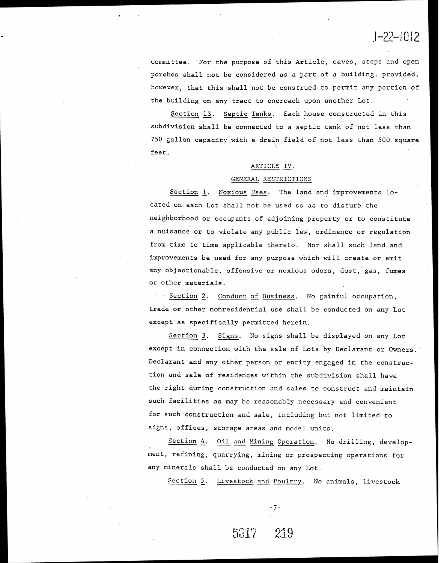Committee. For the purpose of this Article, eaves, steps and open porches shall not be considered as a part of a building; provided, however, that this shall not be construed to permit any portion of the building on any tract to encroach upon another Lot.

Section 13. Septic Tanks. Each house constructed in this subdivision shall be connected to a septic tank of not less than 750 gallon capacity with a drain field of not less than 500 square feet.

#### ARTICLE IV.

#### GENERAL RESTRICTIONS

Section 1. Noxious Uses. The land and improvements located on each Lot shall not be used so as to disturb the neighborhood or occupants of adjoining property or to constitute a nuisance or to violate any public law, ordinance or regulation from time to time applicable thereto. Nor shall such land and improvements be used for any purpose which will create or emit any objectionable, offensive or noxious odors, dust, gas, fumes or other materials.

Section *2.* Conduct of Business. No gainful occupation, trade or other nonresidential use shall be conducted on any Lot except as specifically permitted herein,

Section *3.* Signs. No signs shall be displayed on any Lot except in connection with the sale of Lots by Declarant or Owners. Declarant and any other person or entity engaged in the construction and sale of residences within the subdivision shall have the right during construction and sales to construct and maintain such facilities as may be reasonably necessary and convenient for such construction and sale, including but not limited to signs, offices, storage areas and model units.

Section *4.* Oil and Mining Operation. No drilling, development, refining, quarrying, mining or prospecting operations for any minerals shall be conducted on any Lot.

Section 5. Livestock and Poultry. No animals, livestock

 $-7-$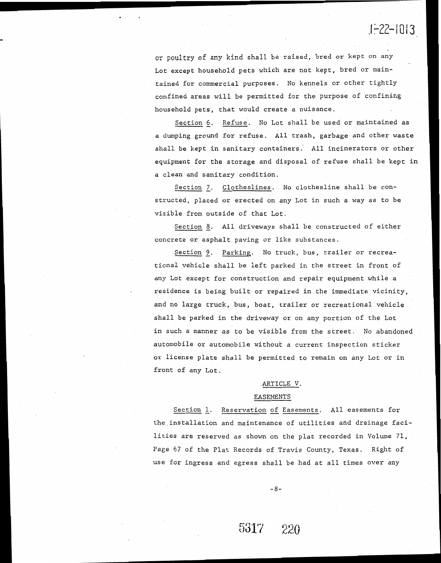### **7- 1 <sup>1</sup>***.ILZL* 1013

or poultry of any kind **shall** be raised, bred or kept on any Lot except household pets which are not kept, bred or maintained for commercial purposes. No kennels or other tightly confined areas will be permitted for the purpose of confining household pets, that would create a nuisance.

Section *5.* Refuse, No Lot shall be used or maintained as a dumping ground for refuse. All trash, garbage and other waste shall be kept in sanitary containers. All incinerators or other equipment for the storage and disposal of refuse shall be kept in a clean and sanitary condition

Section 7. Clotheslines. No clothesline shall be constructed, placed or erected on any Lot in such a way as to be visible from outside of that Lot.

Section *8.* A11 driveways shall be constructed of either concrete or asphalt paving or like substances.

Section *9.* Parking. No truck, bus, trailer or recreational vehicle shall be left parked in the street in front of any Lot except for construction and repair equipment while a residence is being built or repaired in the immediate vicinity, and no large truck, bus, boat, trailer or recreational vehicle shall be parked in the driveway or on any portion of the Lot in such a manner as to be visible from the street. No abandoned automobile or automobile without a current inspection sticker or license plate shall be permitted to remain on any Lot or in front of any Lot.

#### ARTICLE V.

#### EASEMENTS

Section 1. Reservation of Easements. All easements for the installation and maintenance of utilities and drainage facilities are reserved as shown on the plat recorded in Volume 71, Page 67 of the Plat Records of Travis County, Texas. Right of use for ingress and egress shall be had at all times over any

 $-8-$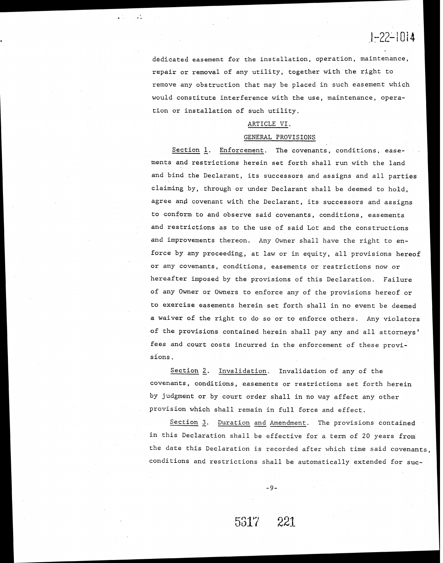dedicated easement for the installation, operation, maintenance, repair or removal of any utility, together with the right to remove any obstruction that may be placed in such easement which would constitute interference with the use, maintenance, operation or installation of such utility.

#### ARTICLE VI.

#### GENERAL PROVISIONS

Section L. Enforcement. The covenants, conditions, easements and restrictions herein set forth shall run with the land and bind the Declarant, its successors and assigns and all parties claiming by, through or under Declarant shall be deemed to hold, agree and covenant with the Declarant, its successors and assigns to conform to and observe said covenants, conditions, easements and restrictions as to the use of said Lot and the constructions and improvements thereon. Any Owner shall have the right to enforce by any proceeding, at law or in equity, all provisions hereof or any covenants, conditions, easements or restrictions now or hereafter imposed by the provisions of this Declaration. Failure of any Owner or Owners to enforce any of the provisions hereof or to exercise easements herein see forth shall in no event be deemed a waiver of the right to do so or to enforce others. Any violators of the provisions contained herein shall pay any and all attorneys' fees and court costs incurred in the enforcement of these provisions.

Section **2.** Invalidation. Invalidation of any of the covenants, conditions, easements or restrictions set forth herein by judgment or by court order shall in no way affect any other provision which shall remain in full force and effect.

Section 3. Duration and Amendment. The provisions contained in this Declaration shall be effective for a term of 20 years from the dare this Declaration is recorded after which time said covenants, conditions and restrictions shall be automatically extended for suc-

#### 5317 221

 $-9-$